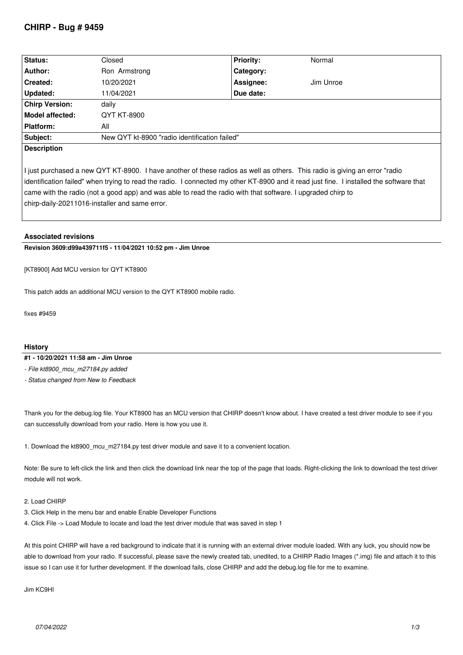# **CHIRP - Bug # 9459**

| <b>Status:</b>        | Closed                                        | <b>Priority:</b> | Normal    |  |  |  |
|-----------------------|-----------------------------------------------|------------------|-----------|--|--|--|
| Author:               | Ron Armstrong                                 | Category:        |           |  |  |  |
| <b>Created:</b>       | 10/20/2021                                    | Assignee:        | Jim Unroe |  |  |  |
| <b>Updated:</b>       | 11/04/2021                                    | Due date:        |           |  |  |  |
| <b>Chirp Version:</b> | daily                                         |                  |           |  |  |  |
| Model affected:       | QYT KT-8900                                   |                  |           |  |  |  |
| <b>Platform:</b>      | All                                           |                  |           |  |  |  |
| Subject:              | New QYT kt-8900 "radio identification failed" |                  |           |  |  |  |
| <b>Description</b>    |                                               |                  |           |  |  |  |

*I just purchased a new QYT KT-8900. I have another of these radios as well as others. This radio is giving an error "radio identification failed" when trying to read the radio. I connected my other KT-8900 and it read just fine. I installed the software that came with the radio (not a good app) and was able to read the radio with that software. I upgraded chirp to chirp-daily-20211016-installer and same error.*

# **Associated revisions**

**Revision 3609:d99a439711f5 - 11/04/2021 10:52 pm - Jim Unroe** 

*[KT8900] Add MCU version for QYT KT8900*

*This patch adds an additional MCU version to the QYT KT8900 mobile radio.*

*fixes #9459*

### **History**

### **#1 - 10/20/2021 11:58 am - Jim Unroe**

*- File kt8900\_mcu\_m27184.py added*

*- Status changed from New to Feedback*

*Thank you for the debug.log file. Your KT8900 has an MCU version that CHIRP doesn't know about. I have created a test driver module to see if you can successfully download from your radio. Here is how you use it.*

*1. Download the kt8900\_mcu\_m27184.py test driver module and save it to a convenient location.*

*Note: Be sure to left-click the link and then click the download link near the top of the page that loads. Right-clicking the link to download the test driver module will not work.*

### *2. Load CHIRP*

- *3. Click Help in the menu bar and enable Enable Developer Functions*
- *4. Click File -> Load Module to locate and load the test driver module that was saved in step 1*

*At this point CHIRP will have a red background to indicate that it is running with an external driver module loaded. With any luck, you should now be able to download from your radio. If successful, please save the newly created tab, unedited, to a CHIRP Radio Images (\*.img) file and attach it to this issue so I can use it for further development. If the download fails, close CHIRP and add the debug.log file for me to examine.*

*Jim KC9HI*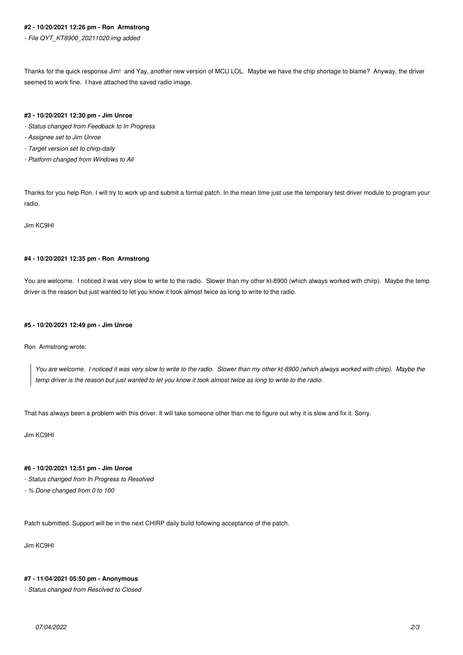# **#2 - 10/20/2021 12:26 pm - Ron Armstrong**

*- File QYT\_KT8900\_20211020.img added*

*Thanks for the quick response Jim! and Yay, another new version of MCU LOL. Maybe we have the chip shortage to blame? Anyway, the driver seemed to work fine. I have attached the saved radio image.*

#### **#3 - 10/20/2021 12:30 pm - Jim Unroe**

- *Status changed from Feedback to In Progress*
- *Assignee set to Jim Unroe*
- *Target version set to chirp-daily*
- *Platform changed from Windows to All*

*Thanks for you help Ron. I will try to work up and submit a formal patch. In the mean time just use the temporary test driver module to program your radio.*

*Jim KC9HI*

# **#4 - 10/20/2021 12:35 pm - Ron Armstrong**

*You are welcome. I noticed it was very slow to write to the radio. Slower than my other kt-8900 (which always worked with chirp). Maybe the temp driver is the reason but just wanted to let you know it took almost twice as long to write to the radio.*

#### **#5 - 10/20/2021 12:49 pm - Jim Unroe**

*Ron Armstrong wrote:*

*You are welcome. I noticed it was very slow to write to the radio. Slower than my other kt-8900 (which always worked with chirp). Maybe the temp driver is the reason but just wanted to let you know it took almost twice as long to write to the radio.*

*That has always been a problem with this driver. It will take someone other than me to figure out why it is slow and fix it. Sorry.*

*Jim KC9HI*

#### **#6 - 10/20/2021 12:51 pm - Jim Unroe**

*- Status changed from In Progress to Resolved*

*- % Done changed from 0 to 100*

*Patch submitted. Support will be in the next CHIRP daily build following acceptance of the patch.*

*Jim KC9HI*

#### **#7 - 11/04/2021 05:50 pm - Anonymous**

*- Status changed from Resolved to Closed*